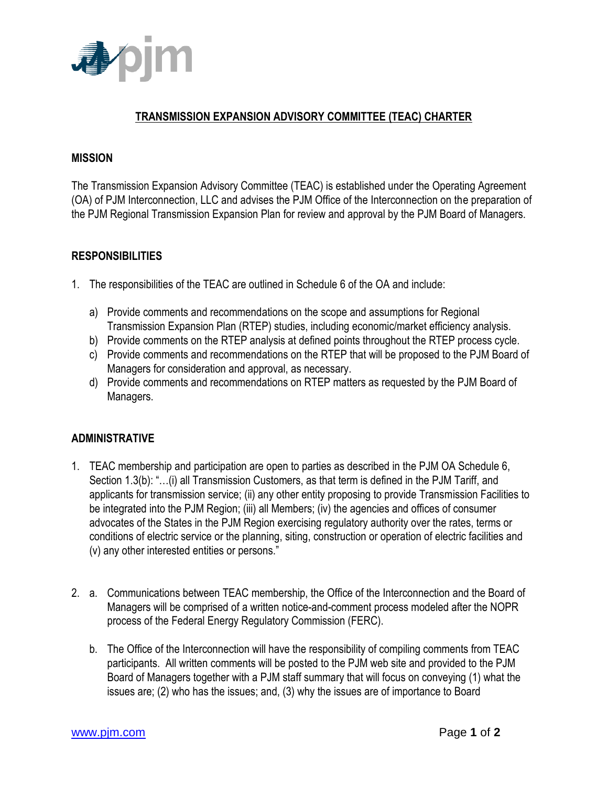

# **TRANSMISSION EXPANSION ADVISORY COMMITTEE (TEAC) CHARTER**

#### **MISSION**

The Transmission Expansion Advisory Committee (TEAC) is established under the Operating Agreement (OA) of PJM Interconnection, LLC and advises the PJM Office of the Interconnection on the preparation of the PJM Regional Transmission Expansion Plan for review and approval by the PJM Board of Managers.

### **RESPONSIBILITIES**

- 1. The responsibilities of the TEAC are outlined in Schedule 6 of the OA and include:
	- a) Provide comments and recommendations on the scope and assumptions for Regional Transmission Expansion Plan (RTEP) studies, including economic/market efficiency analysis.
	- b) Provide comments on the RTEP analysis at defined points throughout the RTEP process cycle.
	- c) Provide comments and recommendations on the RTEP that will be proposed to the PJM Board of Managers for consideration and approval, as necessary.
	- d) Provide comments and recommendations on RTEP matters as requested by the PJM Board of Managers.

### **ADMINISTRATIVE**

- 1. TEAC membership and participation are open to parties as described in the PJM OA Schedule 6, Section 1.3(b): "…(i) all Transmission Customers, as that term is defined in the PJM Tariff, and applicants for transmission service; (ii) any other entity proposing to provide Transmission Facilities to be integrated into the PJM Region; (iii) all Members; (iv) the agencies and offices of consumer advocates of the States in the PJM Region exercising regulatory authority over the rates, terms or conditions of electric service or the planning, siting, construction or operation of electric facilities and (v) any other interested entities or persons."
- 2. a. Communications between TEAC membership, the Office of the Interconnection and the Board of Managers will be comprised of a written notice-and-comment process modeled after the NOPR process of the Federal Energy Regulatory Commission (FERC).
	- b. The Office of the Interconnection will have the responsibility of compiling comments from TEAC participants. All written comments will be posted to the PJM web site and provided to the PJM Board of Managers together with a PJM staff summary that will focus on conveying (1) what the issues are; (2) who has the issues; and, (3) why the issues are of importance to Board